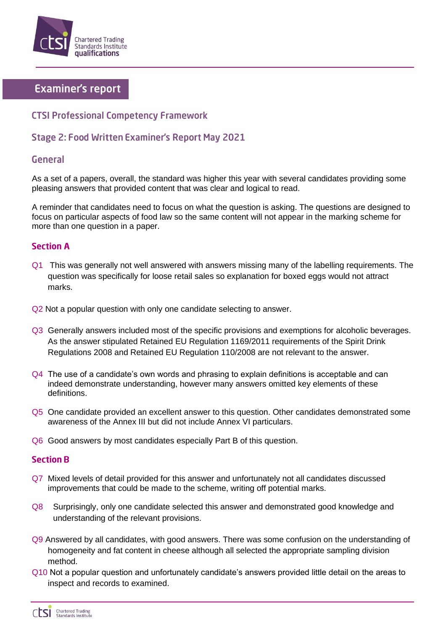

# **Examiner's report**

## **CTSI Professional Competency Framework**

# **Stage 2: Food Written Examiner's Report May 2021**

## **General**

As a set of a papers, overall, the standard was higher this year with several candidates providing some pleasing answers that provided content that was clear and logical to read.

A reminder that candidates need to focus on what the question is asking. The questions are designed to focus on particular aspects of food law so the same content will not appear in the marking scheme for more than one question in a paper.

### **Section A**

- Q1 This was generally not well answered with answers missing many of the labelling requirements. The question was specifically for loose retail sales so explanation for boxed eggs would not attract marks.
- Q<sub>2</sub> Not a popular question with only one candidate selecting to answer.
- Q3 Generally answers included most of the specific provisions and exemptions for alcoholic beverages. As the answer stipulated Retained EU Regulation 1169/2011 requirements of the Spirit Drink Regulations 2008 and Retained EU Regulation 110/2008 are not relevant to the answer.
- Q4 The use of a candidate's own words and phrasing to explain definitions is acceptable and can indeed demonstrate understanding, however many answers omitted key elements of these definitions.
- Q5 One candidate provided an excellent answer to this question. Other candidates demonstrated some awareness of the Annex III but did not include Annex VI particulars.
- Q6 Good answers by most candidates especially Part B of this question.

### **Section B**

- Q7 Mixed levels of detail provided for this answer and unfortunately not all candidates discussed improvements that could be made to the scheme, writing off potential marks.
- Q8 Surprisingly, only one candidate selected this answer and demonstrated good knowledge and understanding of the relevant provisions.
- Q9 Answered by all candidates, with good answers. There was some confusion on the understanding of homogeneity and fat content in cheese although all selected the appropriate sampling division method.
- Q10 Not a popular question and unfortunately candidate's answers provided little detail on the areas to inspect and records to examined.